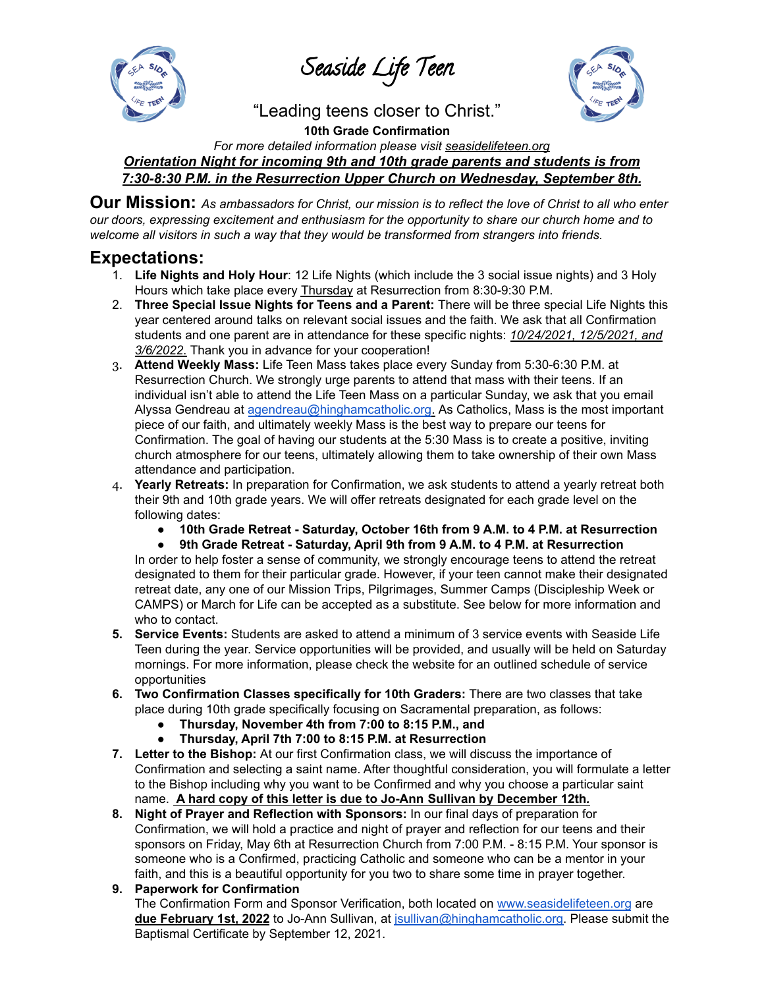Seaside Life Teen



"Leading teens closer to Christ."

**10th Grade Confirmation** *For more detailed information please visit seasidelifeteen.org Orientation Night for incoming 9th and 10th grade parents and students is from 7:30-8:30 P.M. in the Resurrection Upper Church on Wednesday, September 8th.*

Our Mission: As ambassadors for Christ, our mission is to reflect the love of Christ to all who enter *our doors, expressing excitement and enthusiasm for the opportunity to share our church home and to welcome all visitors in such a way that they would be transformed from strangers into friends.*

# **Expectations:**

- 1. **Life Nights and Holy Hour**: 12 Life Nights (which include the 3 social issue nights) and 3 Holy Hours which take place every Thursday at Resurrection from 8:30-9:30 P.M.
- 2. **Three Special Issue Nights for Teens and a Parent:** There will be three special Life Nights this year centered around talks on relevant social issues and the faith. We ask that all Confirmation students and one parent are in attendance for these specific nights: *10/24/2021, 12/5/2021, and 3/6/2022*. Thank you in advance for your cooperation!
- 3. **Attend Weekly Mass:** Life Teen Mass takes place every Sunday from 5:30-6:30 P.M. at Resurrection Church. We strongly urge parents to attend that mass with their teens. If an individual isn't able to attend the Life Teen Mass on a particular Sunday, we ask that you email Alyssa Gendreau at [agendreau@hinghamcatholic.org.](mailto:agendreau@hinghamcatholic.org) As Catholics, Mass is the most important piece of our faith, and ultimately weekly Mass is the best way to prepare our teens for Confirmation. The goal of having our students at the 5:30 Mass is to create a positive, inviting church atmosphere for our teens, ultimately allowing them to take ownership of their own Mass attendance and participation.
- 4. **Yearly Retreats:** In preparation for Confirmation, we ask students to attend a yearly retreat both their 9th and 10th grade years. We will offer retreats designated for each grade level on the following dates:
	- **● 10th Grade Retreat - Saturday, October 16th from 9 A.M. to 4 P.M. at Resurrection**
	- **● 9th Grade Retreat - Saturday, April 9th from 9 A.M. to 4 P.M. at Resurrection**

In order to help foster a sense of community, we strongly encourage teens to attend the retreat designated to them for their particular grade. However, if your teen cannot make their designated retreat date, any one of our Mission Trips, Pilgrimages, Summer Camps (Discipleship Week or CAMPS) or March for Life can be accepted as a substitute. See below for more information and who to contact.

- **5. Service Events:** Students are asked to attend a minimum of 3 service events with Seaside Life Teen during the year. Service opportunities will be provided, and usually will be held on Saturday mornings. For more information, please check the website for an outlined schedule of service opportunities
- **6. Two Confirmation Classes specifically for 10th Graders:** There are two classes that take place during 10th grade specifically focusing on Sacramental preparation, as follows:
	- **● Thursday, November 4th from 7:00 to 8:15 P.M., and**
	- **Thursday, April 7th 7:00 to 8:15 P.M. at Resurrection**
- **7. Letter to the Bishop:** At our first Confirmation class, we will discuss the importance of Confirmation and selecting a saint name. After thoughtful consideration, you will formulate a letter to the Bishop including why you want to be Confirmed and why you choose a particular saint name. **A hard copy of this letter is due to Jo-Ann Sullivan by December 12th***.*
- **8. Night of Prayer and Reflection with Sponsors:** In our final days of preparation for Confirmation, we will hold a practice and night of prayer and reflection for our teens and their sponsors on Friday, May 6th at Resurrection Church from 7:00 P.M. - 8:15 P.M. Your sponsor is someone who is a Confirmed, practicing Catholic and someone who can be a mentor in your faith, and this is a beautiful opportunity for you two to share some time in prayer together.

## **9. Paperwork for Confirmation**

The Confirmation Form and Sponsor Verification, both located on [www.seasidelifeteen.org](http://www.seasidelifeteen.org) are **due February 1st, 2022** to Jo-Ann Sullivan, at [jsullivan@hinghamcatholic.org.](mailto:resconfirmation@hinghamcatholic.org) Please submit the Baptismal Certificate by September 12, 2021.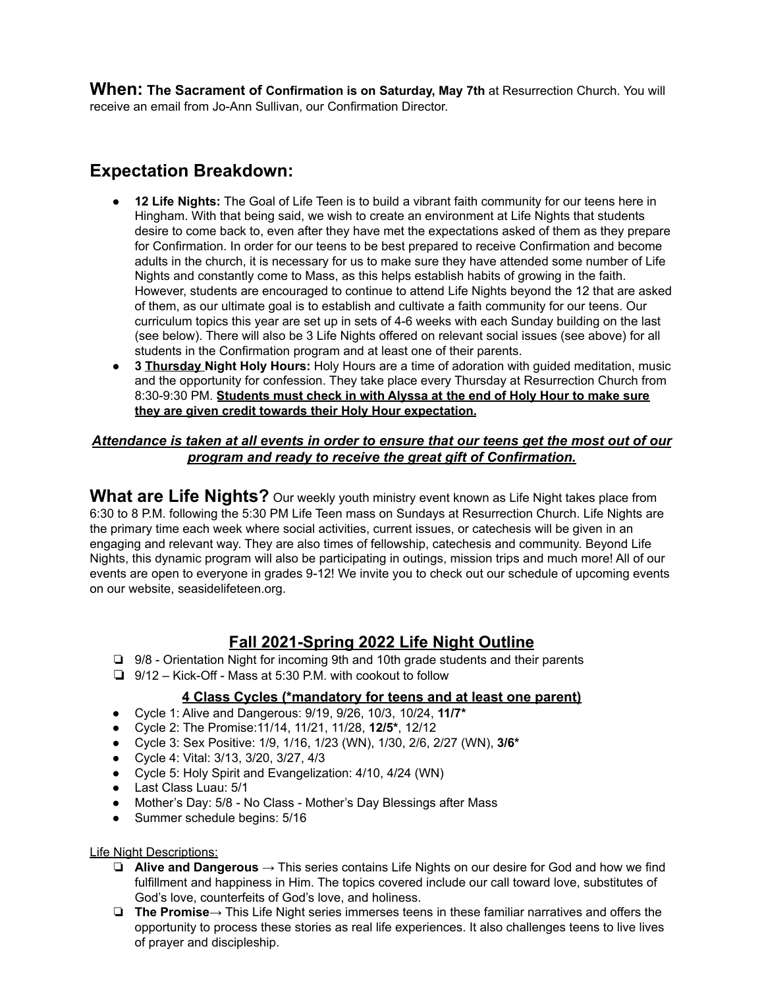**When: The Sacrament of Confirmation is on Saturday, May 7th** at Resurrection Church. You will receive an email from Jo-Ann Sullivan, our Confirmation Director.

# **Expectation Breakdown:**

- 12 Life Nights: The Goal of Life Teen is to build a vibrant faith community for our teens here in Hingham. With that being said, we wish to create an environment at Life Nights that students desire to come back to, even after they have met the expectations asked of them as they prepare for Confirmation. In order for our teens to be best prepared to receive Confirmation and become adults in the church, it is necessary for us to make sure they have attended some number of Life Nights and constantly come to Mass, as this helps establish habits of growing in the faith. However, students are encouraged to continue to attend Life Nights beyond the 12 that are asked of them, as our ultimate goal is to establish and cultivate a faith community for our teens. Our curriculum topics this year are set up in sets of 4-6 weeks with each Sunday building on the last (see below). There will also be 3 Life Nights offered on relevant social issues (see above) for all students in the Confirmation program and at least one of their parents.
- **3 Thursday Night Holy Hours:** Holy Hours are a time of adoration with guided meditation, music and the opportunity for confession. They take place every Thursday at Resurrection Church from 8:30-9:30 PM. **Students must check in with Alyssa at the end of Holy Hour to make sure they are given credit towards their Holy Hour expectation.**

## *Attendance is taken at all events in order to ensure that our teens get the most out of our program and ready to receive the great gift of Confirmation.*

**What are Life Nights?** Our weekly youth ministry event known as Life Night takes place from 6:30 to 8 P.M. following the 5:30 PM Life Teen mass on Sundays at Resurrection Church. Life Nights are the primary time each week where social activities, current issues, or catechesis will be given in an engaging and relevant way. They are also times of fellowship, catechesis and community. Beyond Life Nights, this dynamic program will also be participating in outings, mission trips and much more! All of our events are open to everyone in grades 9-12! We invite you to check out our schedule of upcoming events on our website, seasidelifeteen.org.

# **Fall 2021-Spring 2022 Life Night Outline**

- ❏ 9/8 Orientation Night for incoming 9th and 10th grade students and their parents
- ❏ 9/12 Kick-Off Mass at 5:30 P.M. with cookout to follow

## **4 Class Cycles (\*mandatory for teens and at least one parent)**

- Cycle 1: Alive and Dangerous: 9/19, 9/26, 10/3, 10/24, **11/7\***
- Cycle 2: The Promise:11/14, 11/21, 11/28, **12/5\***, 12/12
- Cycle 3: Sex Positive: 1/9, 1/16, 1/23 (WN), 1/30, 2/6, 2/27 (WN), **3/6\***
- Cycle 4: Vital: 3/13, 3/20, 3/27, 4/3
- Cycle 5: Holy Spirit and Evangelization: 4/10, 4/24 (WN)
- Last Class Luau: 5/1
- Mother's Day: 5/8 No Class Mother's Day Blessings after Mass
- Summer schedule begins: 5/16

#### Life Night Descriptions:

- ❏ **Alive and Dangerous** → This series contains Life Nights on our desire for God and how we find fulfillment and happiness in Him. The topics covered include our call toward love, substitutes of God's love, counterfeits of God's love, and holiness.
- ❏ **The Promise**→ This Life Night series immerses teens in these familiar narratives and offers the opportunity to process these stories as real life experiences. It also challenges teens to live lives of prayer and discipleship.